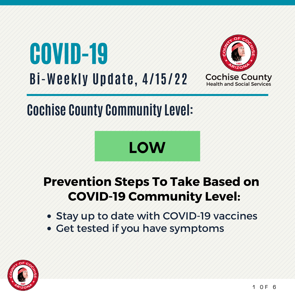



## **Cochise County Community Level:**

# **LOW**

#### **Prevention Steps To Take Based on COVID-19 Community Level:**

- Stay up to date with COVID-19 vaccines
- Get tested if you have symptoms

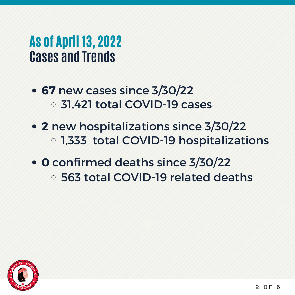#### As of April 13, 2022 **Cases and Trends**

- **67** new cases since 3/30/22 31,421 total COVID-19 cases
- **2** new hospitalizations since 3/30/22 1,333 total COVID-19 hospitalizations
- **0** confirmed deaths since 3/30/22
	- 563 total COVID-19 related deaths

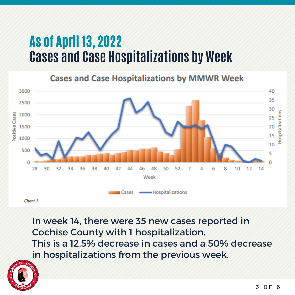#### As of April 13, 2022 **Cases and Case Hospitalizations by Week**

**Cases and Case Hospitalizations by MMWR Week** 



Chart 1

In week 14, there were 35 new cases reported in Cochise County with 1 hospitalization. This is a 12.5% decrease in cases and a 50% decrease in hospitalizations from the previous week.

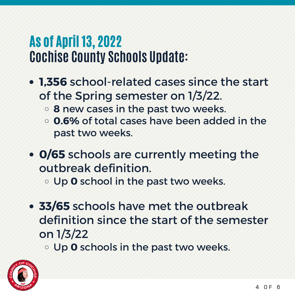#### As of April 13, 2022 **Cochise County Schools Update:**

- **1,356** school-related cases since the start of the Spring semester on 1/3/22.
	- **8** new cases in the past two weeks.
	- **0.6%** of total cases have been added in the past two weeks.
- **0/65** schools are currently meeting the outbreak definition.

Up **0** school in the past two weeks.

- **33/65** schools have met the outbreak definition since the start of the semester on 1/3/22
	- Up **0** schools in the past two weeks.

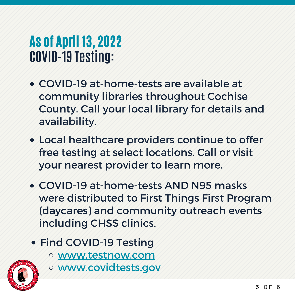### As of April 13, 2022 **COVID-19 Testing:**

- COVID-19 at-home-tests are available at community libraries throughout Cochise County. Call your local library for details and availability.
- Local healthcare providers continue to offer free testing at select locations. Call or visit your nearest provider to learn more.
- COVID-19 at-home-tests AND N95 masks were distributed to First Things First Program (daycares) and community outreach events including CHSS clinics.
- Find COVID-19 Testing
	- www.testnow.com



www.covidtests.gov